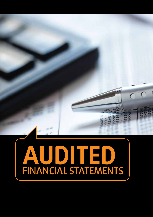# **AUDITED** FINANCIAL STATEMENTS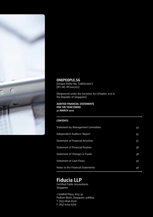

## **ONEPEOPLE.SG** [Unique Entity No. T08SS0160C] [IPC NO. IPC000707]

[Registered under the Societies Act (Chapter 311) in the Republic of Singapore]

#### **AUDITED FINANCIAL STATEMENTS FOR THE YEAR ENDED 31 MARCH 2012**

#### **CONTENTS**

| Statement by Management Committee | 34 |
|-----------------------------------|----|
| Independent Auditors' Report      | 35 |
| Statement of Financial Activities | 37 |
| Statement of Financial Position   | 38 |
| Statement of Changes in Funds     | 38 |
| <b>Statement of Cash Flows</b>    | 39 |
| Notes to the Financial Statements | 40 |

# **Fiducia LLP**

Certified Public Accountants Singapore

1 Goldhill Plaza, #03-35 Podium Block, Singapore 308899. T: (65) 6846.8376 F: (65) 6234.6306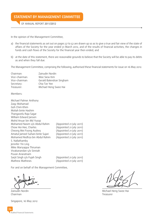# **STATEMENT BY MANAGEMENT COMMITTEE**

OF ANNUAL REPORT 2011/2012

In the opinion of the Management Committee,

- a) the financial statements as set out on pages 37 to 52 are drawn up so as to give a true and fair view of the state of affairs of the Society for the year ended 31 March 2012, and of the results of financial activities, the changes in funds and cash flows of the Society for the financial year then ended; and
- b) at the date of this statement, there are reasonable grounds to believe that the Society will be able to pay its debts as and when they fall due.

The Management Committee, comprising the following, authorised these financial statements for issue on 16 May 2012.

| Chairman:      | Zainudin Nordin          |
|----------------|--------------------------|
| Vice-chairman: | Wee Siew Kim             |
| Vice-chairman: | Gerald Balendran Singham |
| Secretary:     | Chia Tze Yee             |
| Treasurer:     | Michael Heng Swee Hai    |

Members:

| Michael Palmer Anthony            |                          |
|-----------------------------------|--------------------------|
| Zagy Mohamad                      |                          |
| Goh Chim Khim                     |                          |
| Moliah binte Hashim               |                          |
| Thangavelu Raja Sagar             |                          |
| William Edward Jansen             |                          |
| Mohd Anuar bin Md Yusop           |                          |
| Mohamed Nasim s/o Abdul Rahim     | (Appointed 21 July 2011) |
| Chow Hoi Hee, Charles             | (Appointed 21 July 2011) |
| Cheong Mei Foong Audrey           | (Appointed 21 July 2011) |
| Amatul Jameel Suhani binte Sujari | (Appointed 21 July 2011) |
| Mohamed Redhza bin Abdul Rahim    | (Appointed 21 July 2011) |
| S. Nallathamby                    |                          |
| Jennifer Yin Ling                 |                          |
| Mike Mariyappa Thiruman           |                          |
| Vivakanandan s/o Sinniah          |                          |
| Puvan Ariaratnam                  |                          |
| Sarjit Singh s/o Fujah Singh      | (Appointed 21 July 2011) |
| Mathew Mathews                    | (Appointed 21 July 2011) |

For and on behalf of the Management Committee,

Zainudin Nordin Chairman

Singapore, 16 May 2012

Michael Heng Swee Hai Treasurer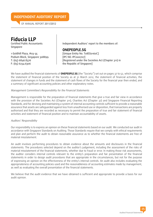## **INDEPENDENT AUDITORS' REPORT**

OF ANNUAL REPORT 2011/2012

**Fiducia LLP** Certified Public Accountants Singapore

1 Goldhill Plaza, #03-35 Podium Block, Singapore 308899. T: (65) 6846.8376 F: (65) 6234.6306

Independent Auditors' report to the members of:

#### **ONEPEOPLE.SG**

[Unique Entity No. T08SS0160C] [IPC NO. IPC000707] [Registered under the Societies Act (Chapter 311) in the Republic of Singapore]

We have audited the financial statements of **ONEPEOPLE.SG** (the "Society") set out on pages 37 to 52, which comprise the statement of financial position of the Society as at 31 March 2012, the statement of financial activities, the statement of changes in funds and the statement of cash flows of the Society for the financial year then ended, and a summary of significant accounting policies and other explanatory notes.

#### Management Committee's Responsibility for the Financial Statements

Management is responsible for the preparation of financial statements that give a true and fair view in accordance with the provision of the Societies Act (Chapter 311), Charities Act (Chapter 37) and Singapore Financial Reporting Standards, and for devising and maintaining a system of internal accounting controls sufficient to provide a reasonable assurance that assets are safeguarded against loss from unauthorised use or disposition, that transactions are properly authorised and that they are recorded as necessary to permit the preparation of true and fair statement of financial activities and statement of financial position and to maintain accountability of assets.

#### Auditors' Responsibility

Our responsibility is to express an opinion on these financial statements based on our audit. We conducted our audit in accordance with Singapore Standards on Auditing. Those Standards require that we comply with ethical requirements and plan and perform the audit to obtain reasonable assurance as to whether the financial statements are free of material misstatement.

An audit involves performing procedures to obtain evidence about the amounts and disclosures in the financial statements. The procedures selected depend on the auditor's judgement, including the assessment of the risks of material misstatement of the financial statements, whether due to fraud or error. In making those risk assessments, the auditor considers internal controls relevant to the entity's preparation and fair presentation of the financial statements in order to design audit procedures that are appropriate in the circumstances, but not for the purpose of expressing an opinion on the effectiveness of the entity's internal controls. An audit also includes evaluating the appropriateness of accounting policies used and the reasonableness of accounting estimates made by management, as well as evaluating the overall presentation of the financial statements.

We believe that the audit evidence that we have obtained is sufficient and appropriate to provide a basis for our audit opinion.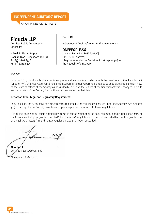## **INDEPENDENT AUDITORS' REPORT**

OF ANNUAL REPORT 2011/2012



Podium Block, Singapore 308899. T: (65) 6846.8376 F: (65) 6234.6306

### (CONT'D)

Independent Auditors' report to the members of:

#### **ONEPEOPLE.SG**

[Unique Entity No. T08SS0160C] [IPC NO. IPC000707] [Registered under the Societies Act (Chapter 311) in the Republic of Singapore]

Opinion

In our opinion, the financial statements are properly drawn up in accordance with the provisions of the Societies Act (Chapter 311), Charities Act (Chapter 37) and Singapore Financial Reporting Standards so as to give a true and fair view of the state of affairs of the Society as at 31 March 2012, and the results of the financial activities, changes in funds and cash flows of the Society for the financial year ended on that date.

#### **Report on Other Legal and Regulatory Requirements**

In our opinion, the accounting and other records required by the regulations enacted under the Societies Act (Chapter 311) to be kept by the Society have been properly kept in accordance with those regulations.

During the course of our audit, nothing has come to our attention that the 30% cap mentioned in Regulation 15(1) of the Charities Act, Cap. 37 (Institutions of a Public Character) Regulations 2007 and as amended by Charities (Institutions of a Public Character) (Amendments) Regulations 2008 has been exceeded.

**Fiducia LLP** Certified Public Accountants Singapore, 16 May 2012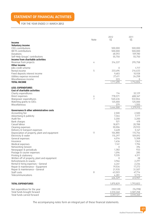# **STATEMENT OF FINANCIAL ACTIVITIES**

FOR THE YEAR ENDED 31 MARCH 2012

|                                               | Note | 2012<br>S\$      | 2011<br>S\$      |
|-----------------------------------------------|------|------------------|------------------|
| Income                                        |      |                  |                  |
| <b>Voluntary income</b>                       |      |                  |                  |
| CDCs contributions                            |      | 500.000          | 500,000          |
| MCYS contributions                            |      | 500,000          | 500,000          |
| Donations                                     |      | 68,592           | 109,780          |
| Self-Help Groups' contributions               |      | 55,750           | 55,750           |
| Income from charitable activities             |      |                  |                  |
| Revenue from projects                         | 4    | 316,337          | 295,758          |
| Other income                                  |      |                  |                  |
| Jobs credit scheme                            |      | 0                | 1,717            |
| Rental income                                 | 5    | 233,694          | 216,633          |
| Fixed deposits interest income                |      | 9,683            | 10,928           |
| Utilities expense recovered                   |      | 27,411           | 26,258           |
| Miscellaneous income<br><b>TOTAL INCOME</b>   |      | 223<br>1,711,690 |                  |
|                                               |      |                  | 1,716,824        |
| <b>LESS: EXPENDITURES</b>                     |      |                  |                  |
| Cost of charitable activities                 |      |                  |                  |
| Charity expenditures                          |      | 114              | 32,129           |
| Direct expenses                               | 6    | 778,571          | 688,367          |
| Manpower expenditures                         | 7    | 540,436          | 532,864          |
| Matching grants to CDCs                       |      | 125,000          | 125,000          |
| Miscellaneous                                 |      | 379              | 1,555            |
|                                               |      | 1,444,500        | 1,379,915        |
| Governance & other administrative costs       |      |                  |                  |
| Accounting fee                                |      | 2,500            | 2,500            |
| Advertising & publicity                       |      | 7,364            | 7,177            |
| Audit fee                                     |      | 3,200<br>521     | 3,200<br>418     |
| Bank charges<br>Casual labour                 |      | 18,871           | 20,788           |
| Cleaning expenses                             |      | 30,006           | 25,923           |
| Delivery & transport expenses                 |      | 3,628            | 5,147            |
| Depreciation of property, plant and equipment | 11   | 104,880          | 115,756          |
| Electricity & water                           |      | 115,297          | 109,092          |
| General expenses                              |      | 6,014            | 5,308            |
| Insurance                                     |      | 1,636            | 1,943            |
| Medical expenses                              |      | 1,141            | 1,706            |
| Networking Session                            |      | 0                | 394              |
| Newspaper & periodicals                       |      | 1,382            | 933              |
| Postage & courier expenses                    |      | 1,094            | 285              |
| Printing & stationery                         |      | 9,335            | 6,511            |
| Written off of property, plant and equipment  |      | 0                | 28               |
| Refreshments & snacks                         |      | 3,966            | 2,297            |
| Rental & hiring expenses - General            |      | 6,241            | 2,236            |
| Repair & maintenance - Equipment              |      | 19,534           | 17,272           |
| Repair & maintenance - General                |      | 21,935           | 31,507           |
| Staff costs                                   | 8    | 63,503           | 47,714           |
| Telecommunications                            |      | 4,281<br>426,329 | 5,772<br>413,907 |
|                                               |      |                  |                  |
| <b>TOTAL EXPENDITURES</b>                     |      | 1,870,829        | 1,793,822        |
| Net expenditure for the year                  |      | (159, 139)       | (76,998)         |
| Total funds brought forward                   |      | 3,510,260        | 3,587,258        |
| Total funds carried forward                   |      | 3,351,121        | 3,510,260        |

The accompanying notes form an integral part of these financial statements.

 $\circ$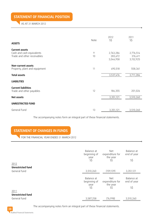**STATEMENT OF FINANCIAL POSITION**

AS AT 31 MARCH 2012

| <b>ASSETS</b>                                                                     | Note    | 2012<br>S\$                       | 2011<br>S\$                       |
|-----------------------------------------------------------------------------------|---------|-----------------------------------|-----------------------------------|
| <b>Current assets</b><br>Cash and cash equivalents<br>Trade and other receivables | 9<br>10 | 2,763,286<br>283,672<br>3,046,958 | 2,776,514<br>376,411<br>3,152,925 |
| Non-current assets<br>Property, plant and equipment                               | 11      | 490,518                           | 558,361                           |
| <b>Total assets</b>                                                               |         | 3,537,476                         | 3,711,286                         |
| <b>LIABILITIES</b>                                                                |         |                                   |                                   |
| <b>Current liabilities</b><br>Trade and other payables                            | 12      | 186,355                           | 201,026                           |
| Net assets                                                                        |         | 3,351,121                         | 3,510,260                         |
| <b>UNRESTRICTED FUND</b>                                                          |         |                                   |                                   |
| General Fund                                                                      | 13      | 3,351,121                         | 3,510,260                         |

The accompanying notes form an integral part of these financial statements.

# **STATEMENT OF CHANGES IN FUNDS**

FOR THE FINANCIAL YEAR ENDED 31 MARCH 2012

| 2012                     | Balance at<br>beginning of<br>year<br>S\$ | <b>Net</b><br>expenditure for<br>the year<br>S\$ | Balance at<br>end of year<br>S\$ |
|--------------------------|-------------------------------------------|--------------------------------------------------|----------------------------------|
| <b>Unrestricted fund</b> |                                           |                                                  |                                  |
| General fund             | 3,510,260                                 | (159, 139)                                       | 3,351,121                        |
|                          |                                           |                                                  |                                  |
|                          | Balance at<br>beginning of                | <b>Net</b><br>expenditure for                    | Balance at<br>end of year        |
|                          | year                                      | the year                                         |                                  |
| 2011                     | S\$                                       | S\$                                              | S\$                              |
| <b>Unrestricted fund</b> |                                           |                                                  |                                  |
| General fund             | 3,587,258                                 | (76,998)                                         | 3,510,260                        |

The accompanying notes form an integral part of these financial statements.

38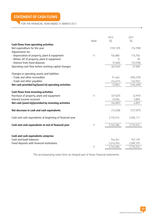# **STATEMENT OF CASH FLOWS**

# FOR THE FINANCIAL YEAR ENDED 31 MARCH 2012

|                                                          | Note | 2012<br>S\$ | 2011<br>S\$ |
|----------------------------------------------------------|------|-------------|-------------|
| Cash flows from operating activities                     |      |             |             |
| Net expenditure for the year<br>Adjustments for:         |      | (159, 139)  | (76, 998)   |
| - Depreciation of property, plant & equipment            | 11   | 104,880     | 115,756     |
| - Witten off of property, plant & equipment              |      | $\Omega$    | 28          |
| - Interest from fixed deposits                           |      | (9,683)     | (10, 928)   |
| Operating cash flow before working capital changes       |      | (63, 942)   | 27,858      |
| Changes in operating assets and liabilities              |      |             |             |
| - Trade and other receivables                            |      | 91,466      | (305, 270)  |
| - Trade and other payables                               |      | (14,671)    | 142,922     |
| Net cash provided by/(used in) operating activities      |      | 12,853      | (134, 490)  |
| Cash flows from investing activities                     |      |             |             |
| Purchase of property, plant and equipment                | 11   | (37,037)    | (2,997)     |
| Interest income received                                 |      | 10,956      | 9,890       |
| Net cash (used in)/provided by investing activities      |      | (26, 081)   | 6,893       |
| Net decrease in cash and cash equivalents                |      | (13, 228)   | (127, 597)  |
| Cash and cash equivalents at beginning of financial year |      | 2,776,514   | 2,904,111   |
| Cash and cash equivalents at end of financial year       | 9    | 2,763,286   | 2,776,514   |
|                                                          |      |             |             |
| Cash and cash equivalents comprise:                      |      |             |             |
| Cash and bank balances                                   |      | 746,341     | 767,139     |
| Fixed deposits with financial institutions               |      | 2,016,945   | 2,009,375   |
|                                                          | 9    | 2,763,286   | 2,776,514   |

The accompanying notes form an integral part of these financial statements.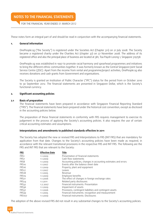# **NOTES TO THE FINANCIAL STATEMENTS**

FOR THE FINANCIAL YEAR ENDED 31 MARCH 2012

These notes form an integral part of and should be read in conjunction with the accompanying financial statements.

#### **1. General information**

OnePeople.sg ("the Society") is registered under the Societies Act (Chapter 311) on 21 July 2008. The Society became a registered charity under the Charities Act (chapter 37) on 27 November 2008. The address of its registered office and also the principal place of business are located at 381, Toa Payoh Lorong 1, Singapore 319758.

OnePeople.sg was established in 1997 to promote racial harmony and spearhead programmes and initiatives to bring the different ethnic communities together. It was formerly known as the Central Singapore Joint Social Service Centre (JSSC). Apart from the income from rental and programme/project activities, OnePeople.sg also receives donations and cash grants from Government and organisations.

The Society is granted an Institution of Public Character ("IPC") status for the period from 01 October 2010 to 30 September 2012. The financial statements are presented in Singapore Dollar, which is the Society's functional currency.

#### **2. Significant accounting policies**

#### **2.1 Basis of preparation**

The financial statements have been prepared in accordance with Singapore Financial Reporting Standard ("FRS"). The financial statements have been prepared under the historical cost convention, except as disclosed in the accounting policies below.

The preparation of these financial statements in conformity with FRS requires management to exercise its judgement in the process of applying the Society's accounting policies. It also requires the use of certain critical accounting estimates and assumptions.

#### **Interpretations and amendments to published standards effective in 2011**

The Society has adopted the new or revised FRS and Interpretations to FRS (INT FRS) that are mandatory for application from that date. Changes to the Society's accounting policies have been made as required, in accordance with the relevant transitional provisions in the respective FRS and INT FRS. The following are the FRS and INT FRS that are relevant to the Society:

| <u>FRS</u>        | <b>Effective Date</b> | Title                                                           |
|-------------------|-----------------------|-----------------------------------------------------------------|
| FRS <sub>1</sub>  | 1.1.2009              | Presentation of financial statements                            |
| FRS7              | 1.1.2009              | Cash flow statements                                            |
| FRS8              | 1.1.2009              | Accounting policies, changes in accounting estimates and errors |
| FRS <sub>10</sub> | 1.1.2007              | Events after the balance sheet date                             |
| FRS <sub>16</sub> | 1.1.2009              | Property, plant and equipment                                   |
| FRS <sub>17</sub> | 1.1.2007              | Leases                                                          |
| FRS <sub>18</sub> | 1.1.2005              | Revenue                                                         |
| FRS <sub>19</sub> | 1.1.2009              | Employee benefits                                               |
| FRS <sub>21</sub> | 1.1.2006              | The effect of changes in foreign exchange rates                 |
| FRS <sub>24</sub> | 1.1.2011              | Related party disclosures                                       |
| FRS32             | 1.2.2007              | Financial instruments: Presentation                             |
| FRS36             | 1.1.2009              | Impairment of assets                                            |
| FRS37             | 1.1.2006              | Provisions, contingent liabilities and contingent assets        |
| FRS39             | 1.1.2005              | Financial instruments: recognition and measurement              |
| <b>FRS107</b>     | 1.1.2009              | Financial instruments: Disclosures                              |

The adoption of the above revised FRS did not result in any substantial changes to the Society's accounting policies.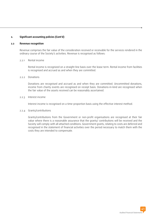#### **2. Significant accounting policies (Cont'd)**

#### **2.2 Revenue recognition**

Revenue comprises the fair value of the consideration received or receivable for the services rendered in the ordinary course of the Society's activities. Revenue is recognised as follows:

#### 2.2.1 Rental income

 Rental income is recognized on a straight-line basis over the lease term. Rental income from facilities is recognised and accrued as and when they are committed.

#### 2.2.2 Donations

 Donations are recognised and accrued as and when they are committed. Uncommitted donations, income from charity events are recognised on receipt basis. Donations-in-kind are recognised when the fair value of the assets received can be reasonably ascertained.

#### 2.2.3 Interest income

Interest income is recognised on a time-proportion basis using the effective interest method.

#### 2.2.4 Grants/contributions

 Grants/contributions from the Government or non-profit organisations are recognised at their fair value where there is a reasonable assurance that the grants/ contributions will be received and the Society will comply with all attached conditions. Government grants, relating to costs are deferred and recognised in the statement of financial activities over the period necessary to match them with the costs they are intended to compensate.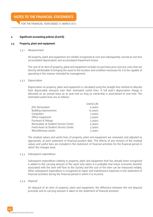FOR THE FINANCIAL YEAR ENDED 31 MARCH 2012

#### **2. Significant accounting policies (Cont'd)**

#### **2.3 Property, plant and equipment**

2.3.1 Measurement

 All property, plant and equipment are initially recognised at cost and subsequently carried at cost less accumulated depreciation and accumulated impairment losses.

 The cost of an item of property, plant and equipment includes its purchase price and any costs that are directly attributable to bringing the asset to the location and condition necessary for it to be capable of operating in the manner intended by management.

#### 2.3.2 Depreciation

 Depreciation on property, plant and equipment is calculated using the straight-line method to allocate their depreciable amounts over their estimated useful lives. A full year's depreciation charge is allocated on an annual basis as at year-end so long as ownership is ascertained at year-end. The estimated useful lives are as follows:

|                                       | Useful Life |
|---------------------------------------|-------------|
| <b>JSSC Renovation</b>                | 9 years     |
| Building improvement                  | 10 years    |
| Computers                             | 3 years     |
| Office equipment                      | 5 years     |
| Furniture & fittings                  | 5 years     |
| Renovation at Student Service Center  | 9 years     |
| Fixed Asset at Student Service Center | 5 years     |
| Miscellaneous assets                  | 5 years     |
|                                       |             |

 The residual values and useful lives of property, plant and equipment are reviewed, and adjusted as appropriate, at each statement of financial position date. The effects of any revision of the residual values and useful lives are included in the statement of financial activities for the financial period in which the changes arise.

#### 2.3.3 Subsequent expenditure

 Subsequent expenditure relating to property, plant and equipment that has already been recognised is added to the carrying amount of the asset only when it is probable that future economic benefits associated with the item will flow to the Society and the cost of the item can be measured reliably. Other subsequent expenditure is recognised as repair and maintenance expenses in the statement of financial activities during the financial period in which it is incurred.

#### 2.3.4 Disposal

 On disposal of an item of property, plant and equipment, the difference between the net disposal proceeds and its carrying amount is taken to the statement of financial activities.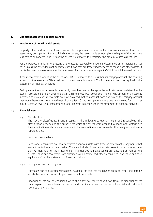#### **2. Significant accounting policies (Cont'd)**

#### **2.4 Impairment of non-financial assets**

Property, plant and equipment are reviewed for impairment whenever there is any indication that these assets may be impaired. If any such indication exists, the recoverable amount (i.e. the higher of the fair value less cost to sell and value in use) of the assets is estimated to determine the amount of impairment loss.

For the purpose of impairment testing of the assets, recoverable amount is determined on an individual asset basis unless the asset does not generate cash flows that are largely independent of those from other assets. If this is the case, recoverable amount is determined for the cashgenerating unit (CGU) to which the asset belongs.

If the recoverable amount of the asset (or CGU) is estimated to be less than its carrying amount, the carrying amount of the asset (or CGU) is reduced to its recoverable amount. The impairment loss is recognised in the statement of financial activities.

An impairment loss for an asset is reversed if, there has been a change in the estimates used to determine the assets' recoverable amount since the last impairment loss was recognised. The carrying amount of an asset is increased to its revised recoverable amount, provided that this amount does not exceed the carrying amount that would have been determined (net of depreciation) had no impairment loss been recognised for the asset in prior years. A reversal of impairment loss for an asset is recognised in the statement of financial activities.

#### **2.5 Financial assets**

#### 2.5.1 Classification

 The Society classifies its financial assets in the following categories: loans and receivables. The classification depends on the purpose for which the assets were acquired. Management determines the classification of its financial assets at initial recognition and re-evaluates this designation at every reporting date.

#### Loans and receivables

 Loans and receivables are non-derivative financial assets with fixed or determinable payments that are not quoted in an active market. They are included in current assets, except those maturing later than 12 months after the statement of financial position date which are classified as non-current assets. Loans and receivables are classified within "trade and other receivables" and "cash and cash equivalents" on the statement of financial position.

#### 2.5.2 Recognition and derecognition

 Purchases and sales of financial assets, available-for-sale, are recognised on trade-date – the date on which the Society commits to purchase or sell the assets.

 Financial assets are derecognised when the rights to receive cash flows from the financial assets have expired or have been transferred and the Society has transferred substantially all risks and rewards of ownership.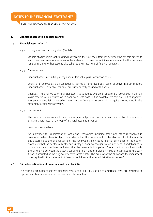# **NOTES TO THE FINANCIAL STATEMENTS**

FOR THE FINANCIAL YEAR ENDED 31 MARCH 2012

#### **2. Significant accounting policies (Cont'd)**

#### **2.5 Financial assets (Cont'd)**

2.5.2 Recognition and derecognition (Cont'd)

 On sale of a financial asset classified as available-for-sale, the difference between the net sale proceeds and its carrying amount are taken to the statement of financial activities. Any amount in the fair value reserve relating to that asset is also taken to the statement of financial activities.

#### 2.5.3 Measurement

Financial assets are initially recognised at fair value plus transaction costs.

 Loans and receivables are subsequently carried at amortised cost using effective interest method Financial assets, available-for-sale, are subsequently carried at fair value.

 Changes in the fair value of financial assets classified as available-for-sale are recognised in the fair value reserve within equity. When financial assets classified as available-for-sale are sold or impaired, the accumulated fair value adjustments in the fair value reserve within equity are included in the statement of financial activities.

2.5.4 Impairment

 The Society assesses at each statement of financial position date whether there is objective evidence that a financial asset or a group of financial assets is impaired.

#### Loans and receivables

 An allowance for impairment of loans and receivables including trade and other receivables is recognised when there is objective evidence that the Society will not be able to collect all amounts due according to the original terms of the receivables. Significant financial difficulties of the debtor, probability that the debtor will enter bankruptcy or financial reorganisation, and default or delinquency in payments are considered indicators that the receivable is impaired. The amount of the allowance is the difference between the asset's carrying amount and the present value of estimated future cash flows, discounted at the original effective interest rate. The amount of the allowance for impairment is recognised in the statement of financial activities within "Administrative expenses".

#### **2.6 Fair value estimation of financial assets and liabilities**

The carrying amounts of current financial assets and liabilities, carried at amortised cost, are assumed to approximate their fair values due to their short-term nature.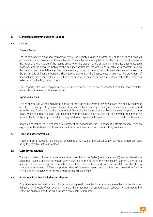#### **2. Significant accounting policies (Cont'd)**

#### **2.7 Leases**

#### **Finance leases**

Leases of property, plant and equipment where the Society assumes substantially all the risks and rewards of ownership are classified as finance leases. Finance leases are capitalised at the inception of the lease at the lower of the fair value of the leased property or the present value of the minimum lease payments. Each lease payment is allocated between the liability and finance charges so as to achieve a constant rate on the finance balance outstanding. The corresponding rental obligations, net of finance charges, are shown on the statement of financial position. The interest element of the finance cost is taken to the statement of financial activities over the lease period so as to produce a constant periodic rate of interest on the remaining balance of the liability for each period.

The property, plant and equipment acquired under finance leases are depreciated over the shorter of the useful life of the asset or the lease term.

#### **Operating leases**

Leases of assets in which a significant portion of the risks and rewards of ownership are retained by the lessor are classified as operating leases. Payments made under operating leases (net of any incentives received from the lessor) are taken to the statement of financial activities on a straightline basis over the period of the lease. When an operating lease is terminated before the lease period has expired, any payment required to be made to the lessor by way of penalty is recognised as an expense in the period in which termination takes place.

Rental on operating lease is charged to statement of financial activities. Contingent rents are recognised as an expense in the statement of financial activities in the financial period in which they are incurred.

#### **2.8 Trade and other payables**

Trade and other payables are initially recognised at fair value, and subsequently carried at amortised cost, using the effective interest method.

#### **2.9 Currency translation**

Transactions denominated in a currency other than Singapore Dollar ('foreign currency") are translated into Singapore Dollar using the exchange rates prevailing at the dates of the transactions. Currency translation gains and losses resulting from the settlement of such transactions and from the translation at the closing rate at the statement of financial position date of monetary assets and liabilities denominated in foreign currencies are recognised in the statement of financial activities.

#### **2.10 Provisions for other liabilities and charges**

Provisions for other liabilities and charges are recognised when the Society has a present legal or constructive obligation as a result of past events, it is more likely than not that an outflow of resources will be required to settle the obligation and the amount has been reliably estimated.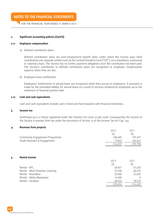## **NOTES TO THE FINANCIAL STATEMENTS**

FOR THE FINANCIAL YEAR ENDED 31 MARCH 2012

#### **2. Significant accounting policies (Cont'd)**

#### **2.11 Employee compensation**

a) Defined contribution plans

 Defined contribution plans are post-employment benefit plans under which the Society pays fixed contributions into separate entities such as the Central Provident Fund ("CPF"), on a mandatory, contractual or voluntary basis. The Society has no further payment obligations once the contribution has been paid. The Society's contribution to defined contribution plans are recognised as employee compensation expense when they are due.

#### b) Employee leave entitlement

 Employees' entitlements to annual leave are recognised when they accrue to employees. A provision is made for the estimated liability for annual leave as a result of services rendered by employees up to the statement of financial position date.

#### **2.12 Cash and cash equivalents**

Cash and cash equivalents include cash in hand and fixed deposits with financial institutions.

#### **3. Income tax**

OnePeople.sg is a charity registered under the Charities Act since 21 July 2008. Consequently, the income of the Society is exempt from tax under the provisions of Section 13 of the Income Tax Act Cap. 134.

#### **4. Revenue from projects**

|                                | 2012    | 2011    |
|--------------------------------|---------|---------|
|                                |         |         |
| Community Engagement Programme | 238.485 | 195.207 |
| Youth Outreach & Engagement    | 77.852  | 100.551 |
|                                | 316.337 | 295,758 |

#### **5. Rental income**

|                                  | 2012    | 2011    |
|----------------------------------|---------|---------|
|                                  | SS      | S\$     |
| Rental - KFC                     | 68,821  | 67,620  |
| Rental - Mind Stretcher Learning | 51,908  | 48,070  |
| Rental - Roundbox                | 30,000  | 22,020  |
| Rental - Alpha Manpower          | 14,000  |         |
| Rental - Facilities              | 68,965  | 78,923  |
|                                  | 233,694 | 216,633 |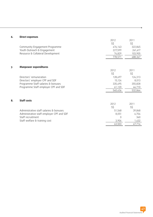| 6. | <b>Direct expenses</b>                    |          |          |
|----|-------------------------------------------|----------|----------|
|    |                                           | 2012     | 2011     |
|    |                                           | S\$      | S\$      |
|    | Community Engagement Programme            | 476,143  | 322,845  |
|    | Youth Outreach & Engagement               | 227,599  | 261,617  |
|    | Resource & Collateral Development         | 74,829   | 103,905  |
|    |                                           | 778,571  | 688,367  |
|    |                                           |          |          |
| 7. | <b>Manpower expenditures</b>              |          |          |
|    |                                           | 2012     | 2011     |
|    |                                           | S\$      | $S\zeta$ |
|    | Directors' remuneration                   | 128,697  | 124,313  |
|    | Directors' employer CPF and SDF           | 15,124   | 8,013    |
|    | Programme Staff salaries & bonuses        | 335,495  | 355,828  |
|    | Programme Staff employer CPF and SDF      | 61,120   | 44,710   |
|    |                                           | 540,436  | 532,864  |
|    |                                           |          |          |
| 8. | <b>Staff costs</b>                        |          |          |
|    |                                           | 2012     | 2011     |
|    |                                           | S\$      | S\$      |
|    | Administrative staff salaries & bonuses   | 51,548   | 39,848   |
|    | Administrative staff employer CPF and SDF | 8,051    | 6,704    |
|    | Staff recruitment                         | $\Omega$ | 360      |
|    | Staff welfare & training cost             | 3,904    | 1,432    |
|    |                                           | 63,503   | 47,714   |

o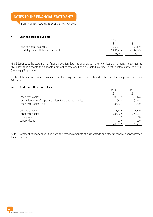# **NOTES TO THE FINANCIAL STATEMENTS**

FOR THE FINANCIAL YEAR ENDED 31 MARCH 2012

#### **9. Cash and cash equivalents**

|                                            | 2012      | 2011      |
|--------------------------------------------|-----------|-----------|
|                                            | SS.       |           |
| Cash and bank balances                     | 746.341   | 767.139   |
| Fixed deposits with financial institutions | 2.016.945 | 2,009,375 |
|                                            | 2.763.286 | 2.776.514 |

Fixed deposits at the statement of financial position date had an average maturity of less than a month to 6.3 months (2011: less than a month to 3.2 months) from that date and had a weighted average effective interest rate of 0.48% (2011: 0.54%) per annum.

At the statement of financial position date, the carrying amounts of cash and cash equivalents approximated their fair values.

#### **10. Trade and other receivables**

|                                                          | 2012    | 2011     |
|----------------------------------------------------------|---------|----------|
|                                                          | S\$     | S\$      |
| Trade receivables                                        | 35,067  | 42,126   |
| Less: Allowance of impairment loss for trade receivables | (636)   | (1, 346) |
| Trade receivables - net                                  | 34,431  | 40,780   |
|                                                          |         |          |
| Utilities deposit                                        | 13,970  | 11,300   |
| Other receivables                                        | 234,202 | 323,321  |
| Prepayments                                              | 869     | 810      |
| Sundry deposit                                           | 200     | 200      |
|                                                          | 283,672 | 376,411  |

At the statement of financial position date, the carrying amounts of current trade and other receivables approximated their fair values.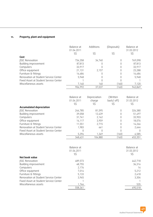## **11. Property, plant and equipment**

|                                       | Balance at<br>01.04.2011 | Additions | (Disposals) | Balance at<br>31.03.2012 |
|---------------------------------------|--------------------------|-----------|-------------|--------------------------|
|                                       | S\$                      | S\$       | S\$         | S\$                      |
| Cost                                  |                          |           |             |                          |
| <b>JSSC Renovation</b>                | 734,358                  | 34,740    | N           | 769,098                  |
| Building improvement                  | 87,813                   | 0         | 0           | 87,813                   |
| Computers                             | 33,917                   |           | 0           | 33,917                   |
| Office equipment                      | 21,131                   | 2.157     | N           | 23,288                   |
| Furniture & fittings                  | 16,684                   | 0         | 0           | 16,684                   |
| Renovation at Student Service Center  | 5,948                    | 0         | 0           | 5,948                    |
| Fixed Asset at Student Service Center |                          |           |             |                          |
| Miscellaneous assets                  | 7.140                    | 140       | (160)       | 7,120                    |
|                                       | 906,992                  | 37,037    | (160)       | 943,869                  |

|                                       | Balance at | Depreciation | (Written  | Balance at |
|---------------------------------------|------------|--------------|-----------|------------|
|                                       | 01.04.2011 | charge       | back/off) | 31.03.2012 |
|                                       | S\$        | S\$          | S\$       | S\$        |
| <b>Accumulated depreciation</b>       |            |              |           |            |
| <b>JSSC Renovation</b>                | 244,785    | 81,595       | 0         | 326,380    |
| Building improvement                  | 39,058     | 12,439       | 0         | 51,497     |
| Computers                             | 31,741     | 2,162        | 0         | 33,903     |
| Office equipment                      | 14,117     | 3,959        | 0         | 18,076     |
| Furniture & fittings                  | 11,551     | 2.715        | 0         | 14,266     |
| Renovation at Student Service Center  | 1,983      | 661          | 0         | 2,644      |
| Fixed Asset at Student Service Center |            | 0            |           |            |
| Miscellaneous assets                  | 5.396      | 1.349        | (160)     | 6,585      |
|                                       | 348,631    | 104,880      | (160)     | 453,351    |

|                                       | Balance at | Balance at |
|---------------------------------------|------------|------------|
|                                       | 01.04.2011 | 31.03.2012 |
|                                       | S\$        | S\$        |
| Net book value                        |            |            |
| <b>JSSC Renovation</b>                | 489,573    | 442,718    |
| Building improvement                  | 48,755     | 36,316     |
| Computers                             | 2,176      | 14         |
| Office equipment                      | 7,014      | 5,212      |
| Furniture & fittings                  | 5,133      | 2,418      |
| Renovation at Student Service Center  | 3,965      | 3,304      |
| Fixed Asset at Student Service Center |            |            |
| Miscellaneous assets                  | 1,744      | 535        |
|                                       | 558,361    | 490,518    |

ó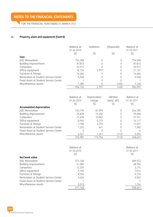FOR THE FINANCIAL YEAR ENDED 31 MARCH 2012

## **11. Property, plant and equipment (Cont'd)**

|                                       | Balance at<br>01.04.2010 | Additions | (Disposals) | Balance at<br>31.03.2011 |
|---------------------------------------|--------------------------|-----------|-------------|--------------------------|
|                                       | S\$                      | S\$       | S\$         | S\$                      |
| Cost                                  |                          |           |             |                          |
| <b>JSSC Renovation</b>                | 734,358                  |           |             | 734,358                  |
| Building improvement                  | 87,813                   |           | 0           | 87,813                   |
| Computers                             | 33,917                   |           | 0           | 33,917                   |
| Office equipment                      | 18,134                   | 2.997     | 0           | 21,131                   |
| Furniture & fittings                  | 16,684                   |           | 0           | 16,684                   |
| Renovation at Student Service Center  | 5,948                    |           | U           | 5,948                    |
| Fixed Asset at Student Service Center |                          |           |             |                          |
| Miscellaneous assets                  | 7,280                    |           | (140)       | 7,140                    |
|                                       | 904,135                  | 2,997     | (140)       | 906,992                  |

|                                       | Balance at<br>01.04.2010 | Depreciation<br>charge | (Written<br>back/off) | Balance at<br>31.03.2011 |
|---------------------------------------|--------------------------|------------------------|-----------------------|--------------------------|
|                                       | S\$                      | S\$                    | S\$                   | S\$                      |
| <b>Accumulated depreciation</b>       |                          |                        |                       |                          |
| <b>JSSC Renovation</b>                | 163,190                  | 81,595                 | 0                     | 244,785                  |
| Building improvement                  | 25,828                   | 13,230                 | 0                     | 39,058                   |
| Computers                             | 21,678                   | 10,063                 | 0                     | 31,741                   |
| Office equipment                      | 8,944                    | 5,173                  | 0                     | 14,117                   |
| Furniture & fittings                  | 7.758                    | 3,793                  | 0                     | 11,551                   |
| Renovation at Student Service Center  | 1,322                    | 661                    | 0                     | 1,983                    |
| Fixed Asset at Student Service Center |                          |                        |                       |                          |
| Miscellaneous assets                  | 4.267                    | 1.241                  | (112)                 | 5,396                    |
|                                       | 232,987                  | 115,756                | (112)                 | 348,631                  |

|                                       | Balance at | Balance at |
|---------------------------------------|------------|------------|
|                                       | 01.04.2010 | 31.03.2011 |
|                                       | S\$        | S\$        |
| Net book value                        |            |            |
| <b>JSSC Renovation</b>                | 571,168    | 489,573    |
| Building improvement                  | 61,985     | 48,755     |
| Computers                             | 12,239     | 2,176      |
| Office equipment                      | 9,190      | 7,014      |
| Furniture & fittings                  | 8,926      | 5,133      |
| Renovation at Student Service Center  | 4.626      | 3,965      |
| Fixed Asset at Student Service Center |            |            |
| Miscellaneous assets                  | 3,013      | 1,744      |
|                                       | 671,148    | 558,361    |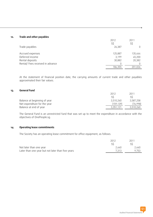#### **12. Trade and other payables**

|                                  | 2012<br>S\$ | 2011<br>S\$ |
|----------------------------------|-------------|-------------|
| Trade payables                   | 26,387      |             |
| Accrued expenses                 | 125,887     | 135,444     |
| Deferred income                  | 3.199       | 45,200      |
| Rental deposits                  | 30,882      | 20,382      |
| Rental/ Fees received in advance | 0           |             |
|                                  | 186,355     | 201,026     |

At the statement of financial position date, the carrying amounts of current trade and other payables approximated their fair values.

#### **13. General Fund**

|                              | 2012      | 2011      |
|------------------------------|-----------|-----------|
|                              |           | SS.       |
| Balance at beginning of year | 3.510.260 | 3,587,258 |
| Net expenditure for the year | [159.139] | (76.998)  |
| Balance at end of year       | 3.351.121 | 3,510,260 |

The General Fund is an unrestricted fund that was set up to meet the expenditure in accordance with the objectives of OnePeople.sg.

#### **14. Operating lease commitments**

The Society has an operating lease commitment for office equipment, as follows:

|                                                   | 2012  | 2011  |
|---------------------------------------------------|-------|-------|
|                                                   |       |       |
| Not later than one year                           | 2.440 | 2.440 |
| Later than one year but not later than five years | 7.313 | 9.753 |
|                                                   |       |       |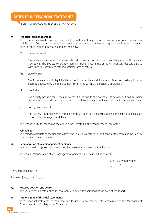FOR THE FINANCIAL YEAR ENDED 31 MARCH 2012

#### **15. Financial risk management**

The Society is exposed to interest rate, liquidity, credit and foreign currency risks arising from its operations and the use of financial instruments. The management committee reviews and agrees on policies for managing each of these risks and they are summarised below:

(i) Interest rate risk

 The Society's exposure to interest rate risk primarily from its fixed deposits placed with financial institutions. The Society constantly monitors movements in interest rates to ensure deposit is place with financial institutions offering optimal rates of return.

(ii) Liquidity risk

 The Society manages its liquidity risk by monitoring and maintaining a level of cash and cash equivalents deemed adequate by the management committee to fund the Society's operations.

(iii) Credit risk

 The Society has minimal exposure to credit risks due to the nature of its activities. It has no major concentration of credit risk. It places its cash and fixed deposits with creditworthy financial institutions.

(iv) Foreign currency risk

 The Society is not exposed to foreign currency risk as all its financial assets and financial liabilities are denominated in Singapore dollars.

The responsibility for managing the above risks is vested in the Management Committee.

#### **Fair values**

The carrying amounts of the financial assets and liabilities recorded in the financial statements of the Society approximated their fair values.

#### **16. Remuneration of key management personnel**

Key personnel comprised of members of the senior management of the Society.

The annual remuneration of key management personnel are classified as follows:

|                                | No. of key management<br>staff |      |
|--------------------------------|--------------------------------|------|
| Remuneration band (S\$)        | 2012                           | 2011 |
| Between \$100,000 to \$150,000 |                                |      |

#### **17. Reserve position and policy**

The Society has an established reserve policy to guide its operations at the date of the report.

#### **18. Authorisation of financial statements**

These financial statements were authorised for issue in accordance with a resolution of the Management Committee of the Society on 16 May 2012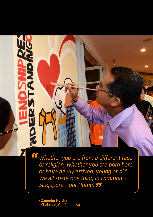Whether you are from a different race or religion, whether you are born here or have newly arrived, young or old, we all share one thing in common – we all snare one thing in c<br>Singapore - our Home. **JJ** *"*

**- Zainudin Nordin** Chairman, OnePeople.sg